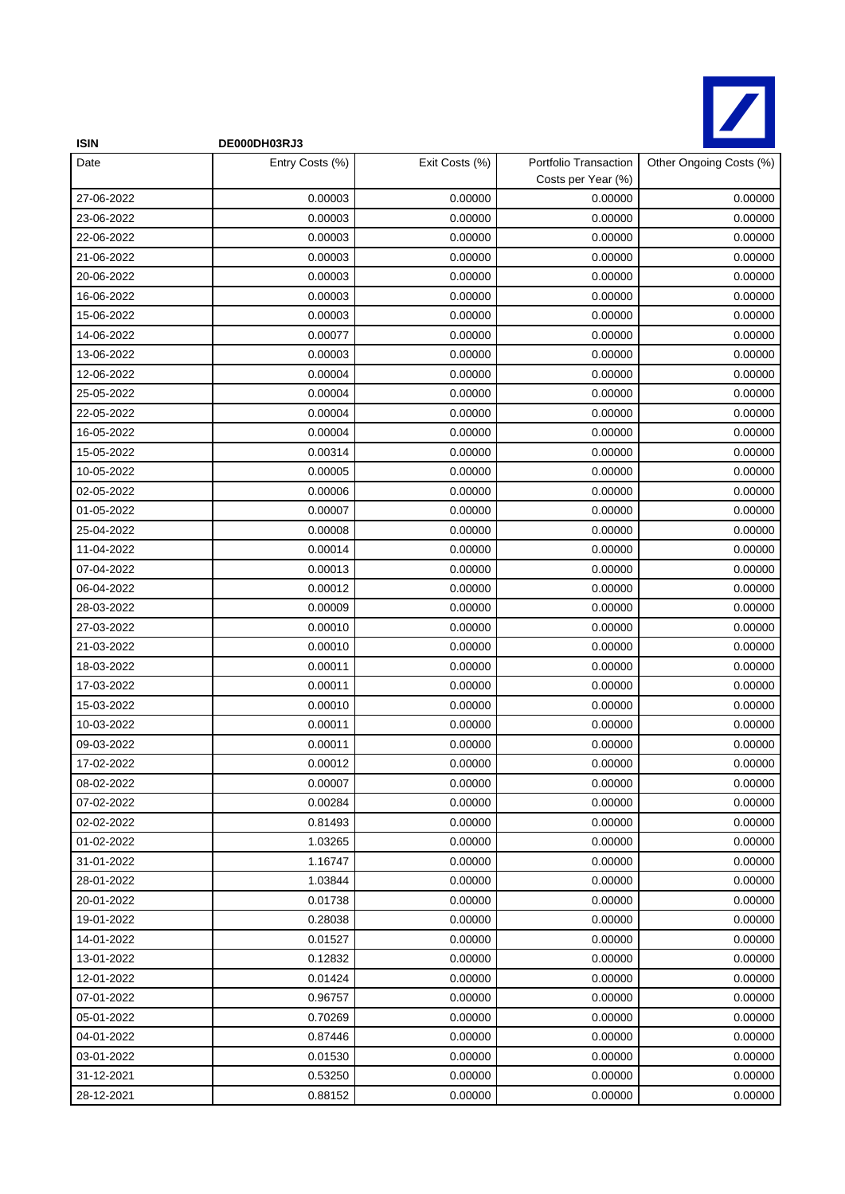

| <b>ISIN</b> | DE000DH03RJ3    |                |                                             |                         |
|-------------|-----------------|----------------|---------------------------------------------|-------------------------|
| Date        | Entry Costs (%) | Exit Costs (%) | Portfolio Transaction<br>Costs per Year (%) | Other Ongoing Costs (%) |
| 27-06-2022  | 0.00003         | 0.00000        | 0.00000                                     | 0.00000                 |
| 23-06-2022  | 0.00003         | 0.00000        | 0.00000                                     | 0.00000                 |
| 22-06-2022  | 0.00003         | 0.00000        | 0.00000                                     | 0.00000                 |
| 21-06-2022  | 0.00003         | 0.00000        | 0.00000                                     | 0.00000                 |
| 20-06-2022  | 0.00003         | 0.00000        | 0.00000                                     | 0.00000                 |
| 16-06-2022  | 0.00003         | 0.00000        | 0.00000                                     | 0.00000                 |
| 15-06-2022  | 0.00003         | 0.00000        | 0.00000                                     | 0.00000                 |
| 14-06-2022  | 0.00077         | 0.00000        | 0.00000                                     | 0.00000                 |
| 13-06-2022  | 0.00003         | 0.00000        | 0.00000                                     | 0.00000                 |
| 12-06-2022  | 0.00004         | 0.00000        | 0.00000                                     | 0.00000                 |
| 25-05-2022  | 0.00004         | 0.00000        | 0.00000                                     | 0.00000                 |
| 22-05-2022  | 0.00004         | 0.00000        | 0.00000                                     | 0.00000                 |
| 16-05-2022  | 0.00004         | 0.00000        | 0.00000                                     | 0.00000                 |
| 15-05-2022  | 0.00314         | 0.00000        | 0.00000                                     | 0.00000                 |
| 10-05-2022  | 0.00005         | 0.00000        | 0.00000                                     | 0.00000                 |
| 02-05-2022  | 0.00006         | 0.00000        | 0.00000                                     | 0.00000                 |
| 01-05-2022  | 0.00007         | 0.00000        | 0.00000                                     | 0.00000                 |
| 25-04-2022  | 0.00008         | 0.00000        | 0.00000                                     | 0.00000                 |
| 11-04-2022  | 0.00014         | 0.00000        | 0.00000                                     | 0.00000                 |
| 07-04-2022  | 0.00013         | 0.00000        | 0.00000                                     | 0.00000                 |
| 06-04-2022  | 0.00012         | 0.00000        | 0.00000                                     | 0.00000                 |
| 28-03-2022  | 0.00009         | 0.00000        | 0.00000                                     | 0.00000                 |
| 27-03-2022  | 0.00010         | 0.00000        | 0.00000                                     | 0.00000                 |
| 21-03-2022  | 0.00010         | 0.00000        | 0.00000                                     | 0.00000                 |
| 18-03-2022  | 0.00011         | 0.00000        | 0.00000                                     | 0.00000                 |
| 17-03-2022  | 0.00011         | 0.00000        | 0.00000                                     | 0.00000                 |
| 15-03-2022  | 0.00010         | 0.00000        | 0.00000                                     | 0.00000                 |
| 10-03-2022  | 0.00011         | 0.00000        | 0.00000                                     | 0.00000                 |
| 09-03-2022  | 0.00011         | 0.00000        | 0.00000                                     | 0.00000                 |
| 17-02-2022  | 0.00012         | 0.00000        | 0.00000                                     | 0.00000                 |
| 08-02-2022  | 0.00007         | 0.00000        | 0.00000                                     | 0.00000                 |
| 07-02-2022  | 0.00284         | 0.00000        | 0.00000                                     | 0.00000                 |
| 02-02-2022  | 0.81493         | 0.00000        | 0.00000                                     | 0.00000                 |
| 01-02-2022  | 1.03265         | 0.00000        | 0.00000                                     | 0.00000                 |
| 31-01-2022  | 1.16747         | 0.00000        | 0.00000                                     | 0.00000                 |
| 28-01-2022  | 1.03844         | 0.00000        | 0.00000                                     | 0.00000                 |
| 20-01-2022  | 0.01738         | 0.00000        | 0.00000                                     | 0.00000                 |
| 19-01-2022  | 0.28038         | 0.00000        | 0.00000                                     | 0.00000                 |
| 14-01-2022  | 0.01527         | 0.00000        | 0.00000                                     | 0.00000                 |
| 13-01-2022  | 0.12832         | 0.00000        | 0.00000                                     | 0.00000                 |
| 12-01-2022  | 0.01424         | 0.00000        | 0.00000                                     | 0.00000                 |
| 07-01-2022  | 0.96757         | 0.00000        | 0.00000                                     | 0.00000                 |
| 05-01-2022  | 0.70269         | 0.00000        | 0.00000                                     | 0.00000                 |
| 04-01-2022  | 0.87446         | 0.00000        | 0.00000                                     | 0.00000                 |
| 03-01-2022  | 0.01530         | 0.00000        | 0.00000                                     | 0.00000                 |
| 31-12-2021  | 0.53250         | 0.00000        | 0.00000                                     | 0.00000                 |
| 28-12-2021  | 0.88152         | 0.00000        | 0.00000                                     | 0.00000                 |